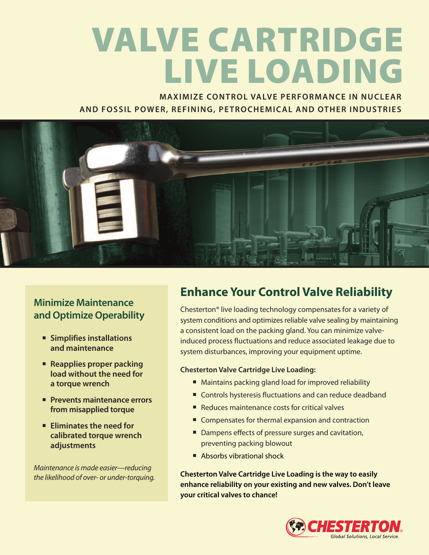# **VALVE CARTRIDGE LIVE LOADING**

**MAXIMIZE CONTROL VALVE PERFORMANCE IN NUCLEAR AND FOSSIL POWER, REFINING, PETROCHEMICAL AND OTHER INDUSTRIES**



### **Minimize Maintenance and Optimize Operability**

- **■ Simplifies installations and maintenance**
- **■ Reapplies proper packing load without the need for a torque wrench**
- **■ Prevents maintenance errors from misapplied torque**
- **■ Eliminates the need for calibrated torque wrench adjustments**

*Maintenance is made easier—reducing the likelihood of over- or under-torquing.*

## **Enhance Your Control Valve Reliability**

Chesterton® live loading technology compensates for a variety of system conditions and optimizes reliable valve sealing by maintaining a consistent load on the packing gland. You can minimize valveinduced process fluctuations and reduce associated leakage due to system disturbances, improving your equipment uptime.

#### **Chesterton Valve Cartridge Live Loading:**

- Maintains packing gland load for improved reliability
- Controls hysteresis fluctuations and can reduce deadband
- Reduces maintenance costs for critical valves
- Compensates for thermal expansion and contraction
- Dampens effects of pressure surges and cavitation, preventing packing blowout
- Absorbs vibrational shock

**Chesterton Valve Cartridge Live Loading is the way to easily enhance reliability on your existing and new valves. Don't leave your critical valves to chance!**